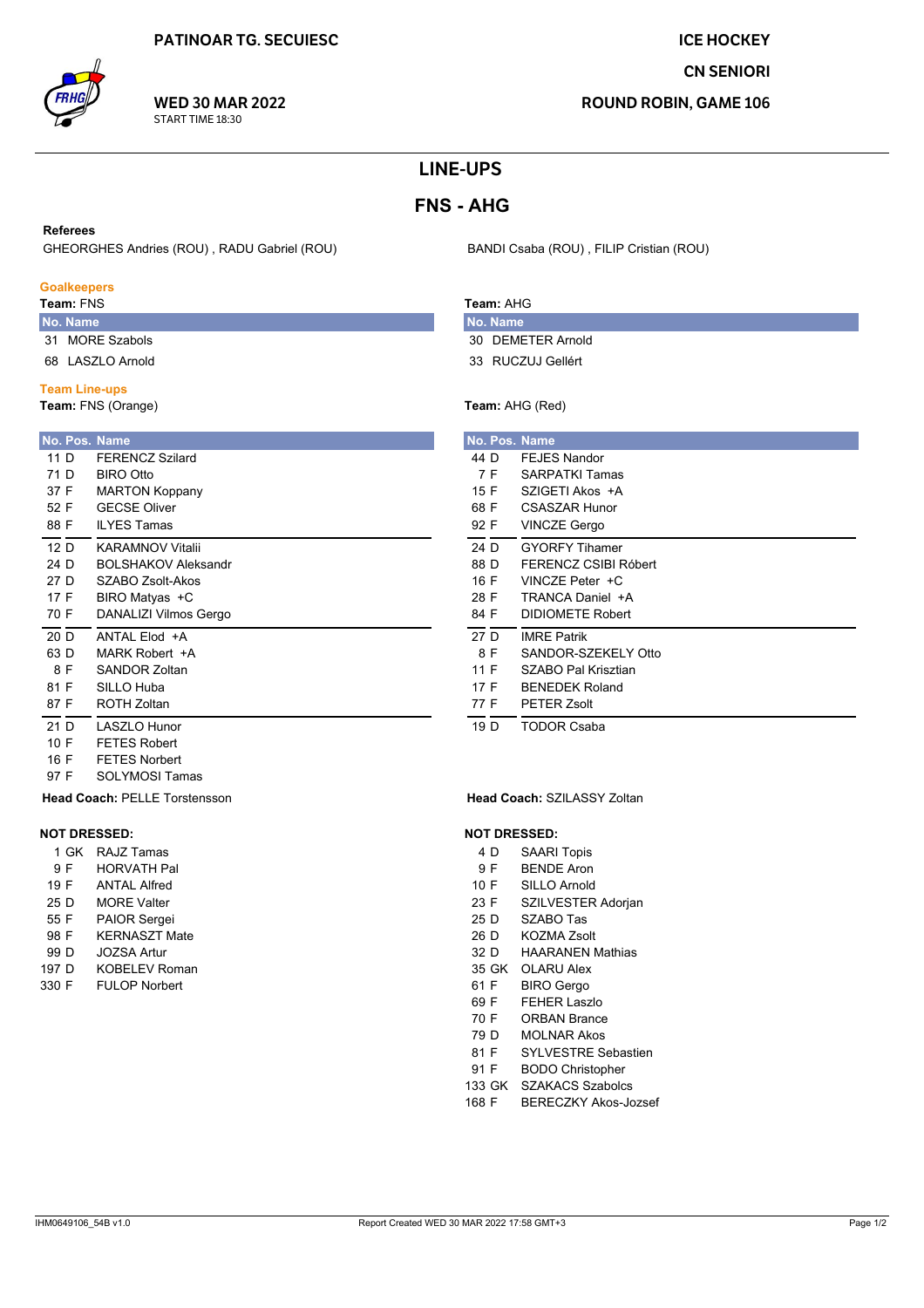## **ICE HOCKEY**

## **CN SENIORI**

**ROUND ROBIN, GAME 106** 

# **LINE-UPS**

# **FNS - AHG**

### **Referees**

GHEORGHES Andries (ROU), RADU Gabriel (ROU)

### **Goalkeepers**

Team: FNS

- No. Name 31 MORE Szabols
- 68 LASZLO Arnold

### **Team Line-ups**

97 F

9 F 19 F

25 D

55 F

98 F

99 D

197 D

330 F

**NOT DRESSED:** 

1 GK RAJZ Tamas

**HORVATH Pal** 

**ANTAL Alfred** 

**MORE Valter** 

PAIOR Sergei

**JOZSA Artur** 

**KERNASZT Mate** 

**KOBELEV Roman** 

**FULOP Norbert** 

**SOLYMOSI Tamas Head Coach: PELLE Torstensson** 

Team: FNS (Orange)

|      | No. Pos. Name              |
|------|----------------------------|
| 11 D | <b>FERENCZ Szilard</b>     |
| 71 D | <b>BIRO Otto</b>           |
| 37 F | <b>MARTON Koppany</b>      |
| 52 F | <b>GECSE Oliver</b>        |
| 88 F | <b>ILYES Tamas</b>         |
| 12 D | <b>KARAMNOV Vitalii</b>    |
| 24 D | <b>BOLSHAKOV Aleksandr</b> |
| 27 D | <b>SZABO Zsolt-Akos</b>    |
| 17 F | BIRO Matyas +C             |
| 70 F | DANALIZI Vilmos Gergo      |
| 20 D | ANTAL Elod +A              |
| 63 D | MARK Robert +A             |
| 8 F  | SANDOR Zoltan              |
| 81 F | SILLO Huba                 |
| 87 F | <b>ROTH Zoltan</b>         |
| 21 D | <b>LASZLO Hunor</b>        |
| 10 F | <b>FETES Robert</b>        |
| 16 F | <b>FETES Norbert</b>       |

# Team: AHG

No. Name 30 DEMETER Arnold

BANDI Csaba (ROU), FILIP Cristian (ROU)

33 RUCZUJ Gellért

## Team: AHG (Red)

|      | No. Pos. Name           |
|------|-------------------------|
| 44 D | <b>FEJES Nandor</b>     |
| 7 F  | <b>SARPATKI Tamas</b>   |
| 15 F | SZIGETI Akos +A         |
| 68 F | CSASZAR Hunor           |
| 92 F | <b>VINCZE Gergo</b>     |
| 24 D | <b>GYORFY Tihamer</b>   |
| 88 D | FERENCZ CSIBI Róbert    |
| 16 F | VINCZE Peter +C         |
| 28 F | TRANCA Daniel +A        |
| 84 F | <b>DIDIOMETE Robert</b> |
| 27 D | <b>IMRE Patrik</b>      |
| 8 F  | SANDOR-SZEKELY Otto     |
| 11 F | SZABO Pal Krisztian     |
| 17 F | <b>BENEDEK Roland</b>   |
| 77 F | PETER Zsolt             |
| 19 D | TODOR Csaba             |

#### Head Coach: SZILASSY Zoltan

### **NOT DRESSED:**

- **SAARI Topis** 4 D
- $9F$ **BENDE Aron**
- $10 F$ SILLO Arnold
- 23 F SZILVESTER Adorjan
- 25 D SZABO Tas
- $26D$ KOZMA Zsolt
- 32 D **HAARANEN Mathias**
- 35 GK OLARU Alex 61 F **BIRO** Gergo
- 69 F **FEHER Laszlo**
- 70 F **ORBAN Brance**
- 79 D **MOLNAR Akos**
- 81 F SYI VESTRE Sebastien
- 91 F **BODO Christopher**
- 133 GK SZAKACS Szabolcs
- 168 F **BERECZKY Akos-Jozsef**